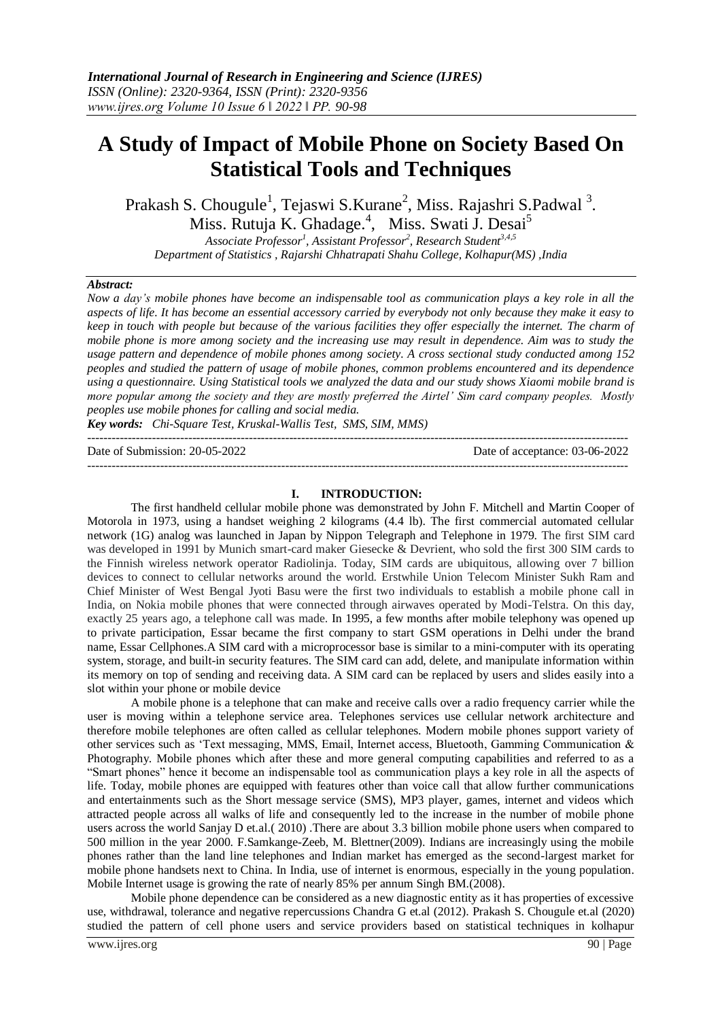# **A Study of Impact of Mobile Phone on Society Based On Statistical Tools and Techniques**

Prakash S. Chougule<sup>1</sup>, Tejaswi S.Kurane<sup>2</sup>, Miss. Rajashri S.Padwal<sup>3</sup>. Miss. Rutuja K. Ghadage.<sup>4</sup>, Miss. Swati J. Desai<sup>5</sup>

*Associate Professor<sup>1</sup> , Assistant Professor<sup>2</sup> , Research Student3,4,5 Department of Statistics , Rajarshi Chhatrapati Shahu College, Kolhapur(MS) ,India*

#### *Abstract:*

*Now a day's mobile phones have become an indispensable tool as communication plays a key role in all the aspects of life. It has become an essential accessory carried by everybody not only because they make it easy to keep in touch with people but because of the various facilities they offer especially the internet. The charm of mobile phone is more among society and the increasing use may result in dependence. Aim was to study the usage pattern and dependence of mobile phones among society. A cross sectional study conducted among 152 peoples and studied the pattern of usage of mobile phones, common problems encountered and its dependence using a questionnaire. Using Statistical tools we analyzed the data and our study shows Xiaomi mobile brand is more popular among the society and they are mostly preferred the Airtel' Sim card company peoples. Mostly peoples use mobile phones for calling and social media.*

*Key words: Chi-Square Test, Kruskal-Wallis Test, SMS, SIM, MMS)* 

| Date of Submission: 20-05-2022 | Date of acceptance: 03-06-2022 |
|--------------------------------|--------------------------------|
|                                |                                |

#### **I. INTRODUCTION:**

The first handheld cellular mobile phone was demonstrated by John F. Mitchell and Martin Cooper of Motorola in 1973, using a handset weighing 2 kilograms (4.4 lb). The first commercial automated cellular network (1G) analog was launched in Japan by Nippon Telegraph and Telephone in 1979. The first SIM card was developed in 1991 by Munich smart-card maker Giesecke & Devrient, who sold the first 300 SIM cards to the Finnish wireless network operator Radiolinja. Today, SIM cards are ubiquitous, allowing over 7 billion devices to connect to cellular networks around the world. Erstwhile Union Telecom Minister Sukh Ram and Chief Minister of West Bengal Jyoti Basu were the first two individuals to establish a mobile phone call in India, on Nokia mobile phones that were connected through airwaves operated by Modi-Telstra. On this day, exactly 25 years ago, a telephone call was made. In 1995, a few months after mobile telephony was opened up to private participation, Essar became the first company to start GSM operations in Delhi under the brand name, Essar Cellphones.A SIM card with a microprocessor base is similar to a mini-computer with its operating system, storage, and built-in security features. The SIM card can add, delete, and manipulate information within its memory on top of sending and receiving data. A SIM card can be replaced by users and slides easily into a slot within your phone or mobile device

A mobile phone is a telephone that can make and receive calls over a radio frequency carrier while the user is moving within a telephone service area. Telephones services use cellular network architecture and therefore mobile telephones are often called as cellular telephones. Modern mobile phones support variety of other services such as 'Text messaging, MMS, Email, Internet access, Bluetooth, Gamming Communication & Photography. Mobile phones which after these and more general computing capabilities and referred to as a "Smart phones" hence it become an indispensable tool as communication plays a key role in all the aspects of life. Today, mobile phones are equipped with features other than voice call that allow further communications and entertainments such as the Short message service (SMS), MP3 player, games, internet and videos which attracted people across all walks of life and consequently led to the increase in the number of mobile phone users across the world Sanjay D et.al.( 2010) .There are about 3.3 billion mobile phone users when compared to 500 million in the year 2000. F.Samkange-Zeeb, M. Blettner(2009). Indians are increasingly using the mobile phones rather than the land line telephones and Indian market has emerged as the second-largest market for mobile phone handsets next to China. In India, use of internet is enormous, especially in the young population. Mobile Internet usage is growing the rate of nearly 85% per annum Singh BM.(2008).

Mobile phone dependence can be considered as a new diagnostic entity as it has properties of excessive use, withdrawal, tolerance and negative repercussions Chandra G et.al (2012). Prakash S. Chougule et.al (2020) studied the pattern of cell phone users and service providers based on statistical techniques in kolhapur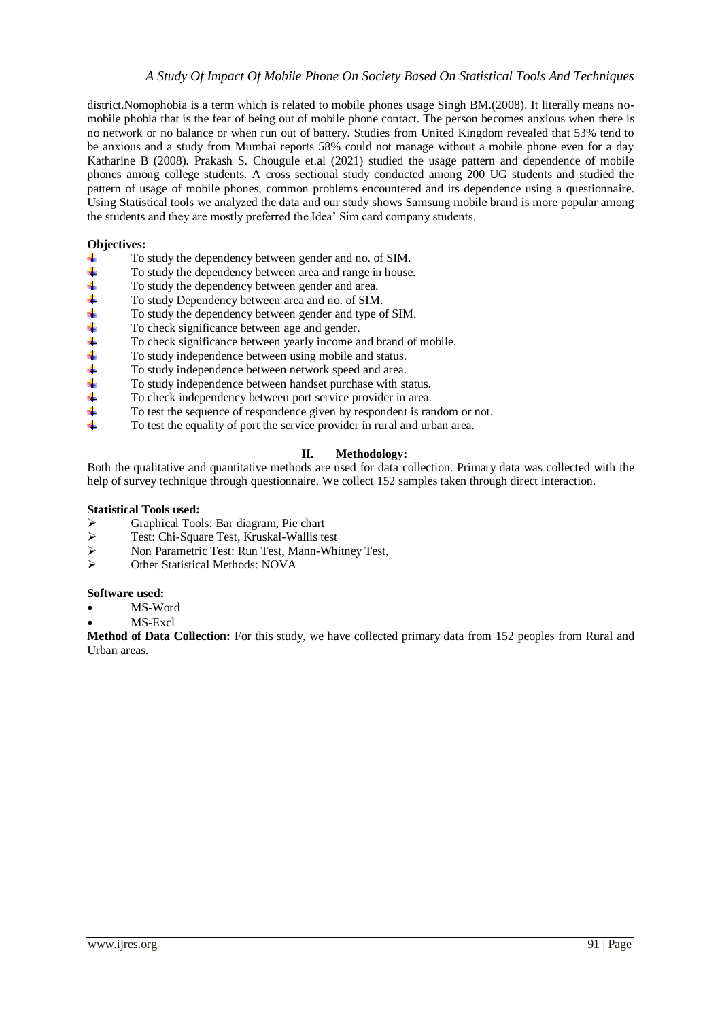district.Nomophobia is a term which is related to mobile phones usage Singh BM.(2008). It literally means nomobile phobia that is the fear of being out of mobile phone contact. The person becomes anxious when there is no network or no balance or when run out of battery. Studies from United Kingdom revealed that 53% tend to be anxious and a study from Mumbai reports 58% could not manage without a mobile phone even for a day Katharine B (2008). Prakash S. Chougule et.al (2021) studied the usage pattern and dependence of mobile phones among college students. A cross sectional study conducted among 200 UG students and studied the pattern of usage of mobile phones, common problems encountered and its dependence using a questionnaire. Using Statistical tools we analyzed the data and our study shows Samsung mobile brand is more popular among the students and they are mostly preferred the Idea' Sim card company students.

# **Objectives:**

- To study the dependency between gender and no. of SIM.
- \*\*\*\*\*\*\*\*\*\*\*\* To study the dependency between area and range in house.
- To study the dependency between gender and area.
- To study Dependency between area and no. of SIM.
- To study the dependency between gender and type of SIM.
- To check significance between age and gender.
- To check significance between yearly income and brand of mobile.
- To study independence between using mobile and status.
- To study independence between network speed and area.
- To study independence between handset purchase with status.
- To check independency between port service provider in area.
- To test the sequence of respondence given by respondent is random or not.
- To test the equality of port the service provider in rural and urban area.

# **II. Methodology:**

Both the qualitative and quantitative methods are used for data collection. Primary data was collected with the help of survey technique through questionnaire. We collect 152 samples taken through direct interaction.

## **Statistical Tools used:**

- Graphical Tools: Bar diagram, Pie chart
- Test: Chi-Square Test, Kruskal-Wallis test
- Non Parametric Test: Run Test, Mann-Whitney Test,
- Other Statistical Methods: NOVA

## **Software used:**

- MS-Word
- MS-Excl

**Method of Data Collection:** For this study, we have collected primary data from 152 peoples from Rural and Urban areas.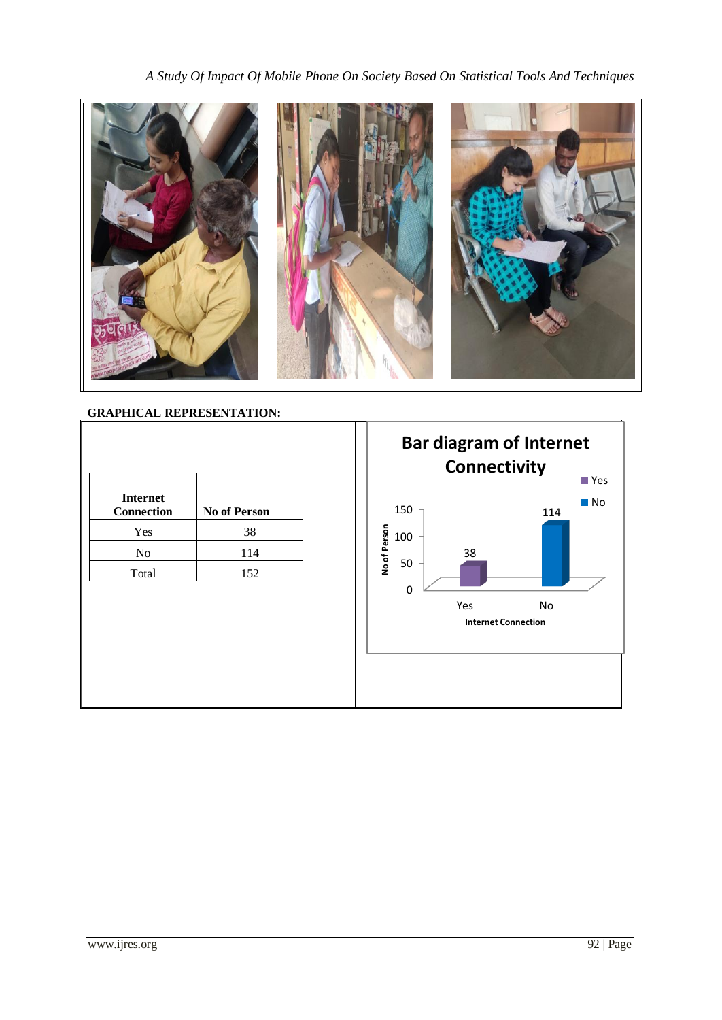

# **GRAPHICAL REPRESENTATION:**

| <b>Internet</b><br><b>Connection</b> | <b>No of Person</b> |
|--------------------------------------|---------------------|
| Yes                                  | 38                  |
| No                                   | 114                 |
| Total                                | 152                 |
|                                      |                     |

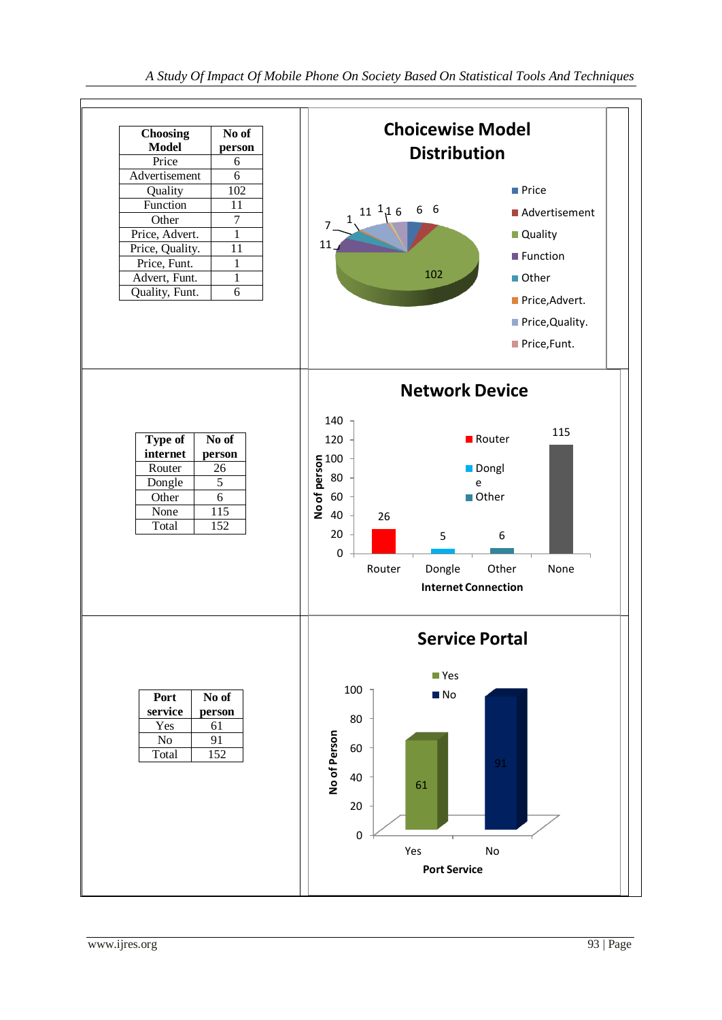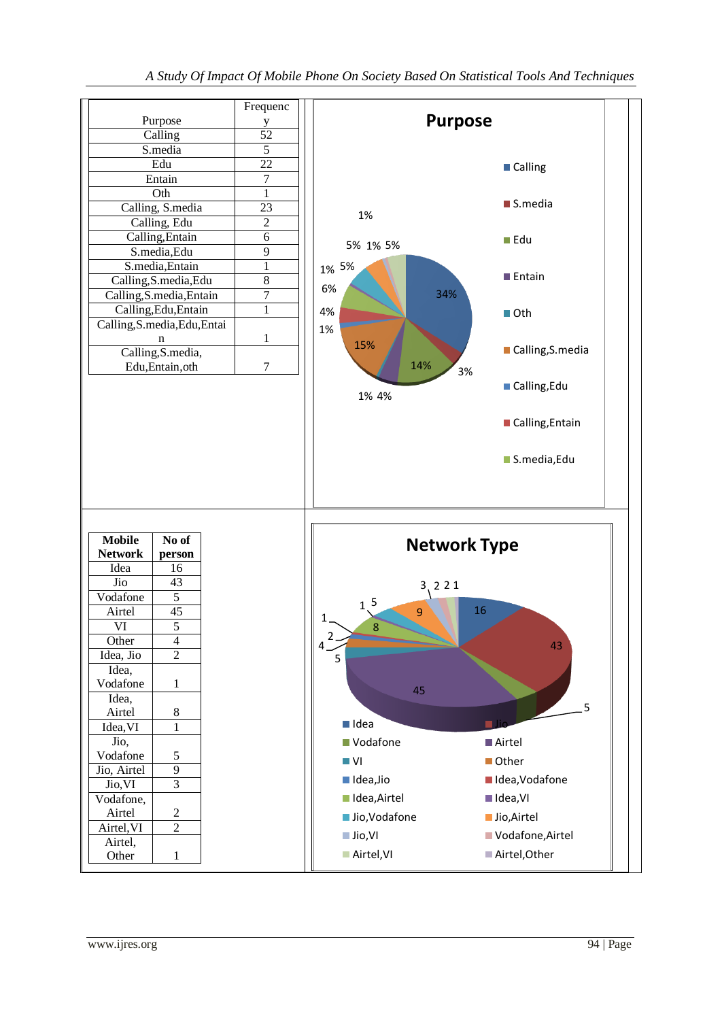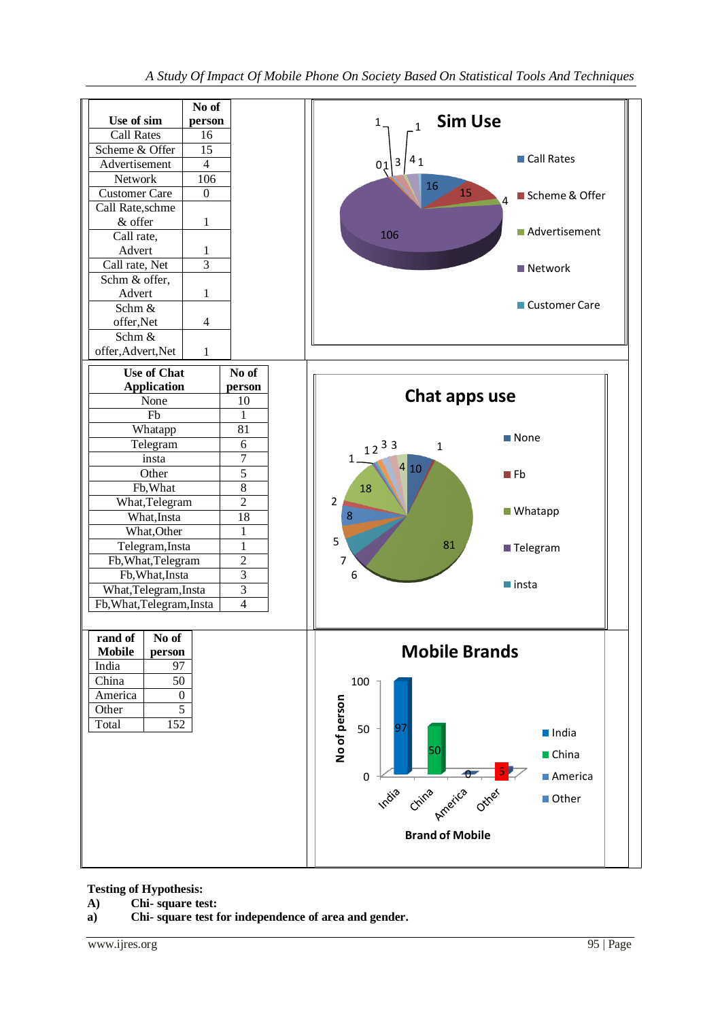

**Testing of Hypothesis:**

- **A) Chi- square test:**
- **a) Chi- square test for independence of area and gender.**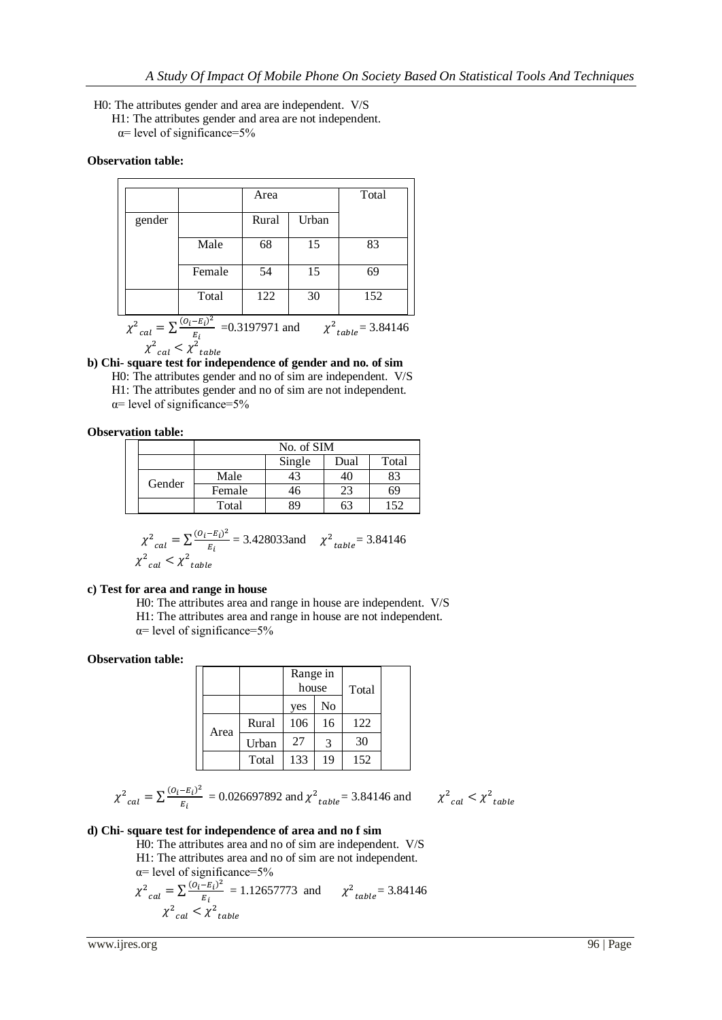H0: The attributes gender and area are independent. V/S

 H1: The attributes gender and area are not independent. α= level of significance=5%

## **Observation table:**

|                                                                                               |        | Area  |       | Total |  |
|-----------------------------------------------------------------------------------------------|--------|-------|-------|-------|--|
| gender                                                                                        |        | Rural | Urban |       |  |
|                                                                                               | Male   | 68    | 15    | 83    |  |
|                                                                                               | Female | 54    | 15    | 69    |  |
|                                                                                               | Total  | 122   | 30    | 152   |  |
| $\chi^2_{cal} = \sum \frac{(o_i - E_i)^2}{E_i} = 0.3197971$ and<br>$\chi^2_{table} = 3.84146$ |        |       |       |       |  |

$$
r_{cal}^2 < \chi_{tabl}
$$

**b) Chi- square test for independence of gender and no. of sim**

 H0: The attributes gender and no of sim are independent. V/S H1: The attributes gender and no of sim are not independent.  $\alpha$ = level of significance=5%

#### **Observation table:**

|        | No. of SIM |        |      |       |  |
|--------|------------|--------|------|-------|--|
|        |            | Single | Dual | Total |  |
| Gender | Male       |        |      | 83    |  |
|        | Female     | 46     | 23   | 69    |  |
|        | Total      | RG     |      | 152   |  |

$$
\chi^2_{cal} = \sum \frac{(o_i - E_i)^2}{E_i} = 3.428033 \text{ and } \chi^2_{table} = 3.84146
$$
  

$$
\chi^2_{cal} < \chi^2_{table}
$$

## **c) Test for area and range in house**

 H0: The attributes area and range in house are independent. V/S H1: The attributes area and range in house are not independent.  $\alpha$ = level of significance=5%

#### **Observation table:**

|      |       | Range in<br>house | Total |     |  |
|------|-------|-------------------|-------|-----|--|
|      |       | No<br>yes         |       |     |  |
| Area | Rural | 106               | 16    | 122 |  |
|      | Urban | 27                | 3     | 30  |  |
|      | Total | 133               | 19    | 152 |  |

$$
\chi^2_{cal} = \sum \frac{(o_i - E_i)^2}{E_i} = 0.026697892
$$
 and  $\chi^2_{table} = 3.84146$  and

$$
\chi^2_{cal} < \chi^2_{table}
$$

## **d) Chi- square test for independence of area and no f sim**

 H0: The attributes area and no of sim are independent. V/S H1: The attributes area and no of sim are not independent. α= level of significance=5%  $\frac{2}{c}$  $(O_i - E_i)^2$  $\frac{-E_i J^2}{E_i}$  = 1.12657773 and  $\chi^2$ <sub>table</sub> = 3.84146  $\frac{2}{c}$ cal  $\langle \chi^2_t \rangle$ 

www.ijres.org 96 | Page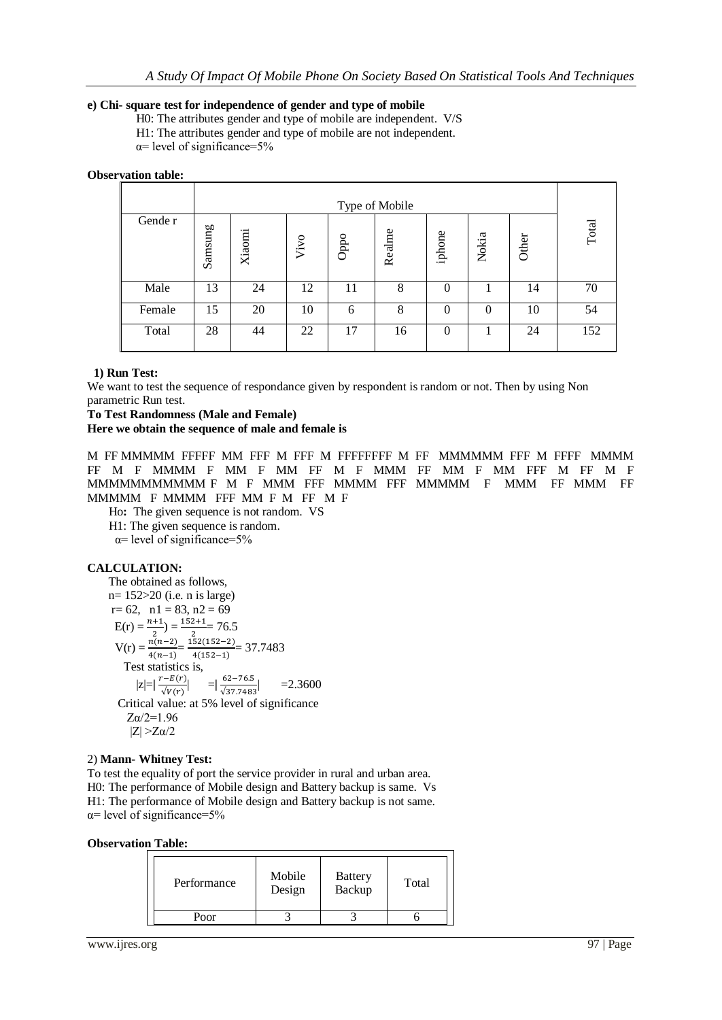#### **e) Chi- square test for independence of gender and type of mobile**

 H0: The attributes gender and type of mobile are independent. V/S H1: The attributes gender and type of mobile are not independent. α= level of significance=5%

#### **Observation table:**

|         | Type of Mobile |        |      |      |        |          |          |       |       |
|---------|----------------|--------|------|------|--------|----------|----------|-------|-------|
| Gende r | Samsung        | Xiaomi | Vivo | Oppo | Realme | iphone   | Nokia    | Other | Total |
| Male    | 13             | 24     | 12   | 11   | 8      | $\Omega$ |          | 14    | 70    |
| Female  | 15             | 20     | 10   | 6    | 8      | $\Omega$ | $\theta$ | 10    | 54    |
| Total   | 28             | 44     | 22   | 17   | 16     | $\theta$ |          | 24    | 152   |

## **1) Run Test:**

We want to test the sequence of respondance given by respondent is random or not. Then by using Non parametric Run test.

#### **To Test Randomness (Male and Female)**

**Here we obtain the sequence of male and female is** 

M FF MMMMM FFFFF MM FFF M FFF M FFFFFFFF M FF MMMMMM FFF M FFFF MMMM FF M F MMMM F MM F MM FF M F MMM FF MM F MM FFF M FF M F MMMMMMMMMMM F M F MMM FFF MMMM FFF MMMMM F MMM FF MMM FF MMMMM F MMMM FFF MM F M H F M F

Ho**:** The given sequence is not random. VS

H1: The given sequence is random.

 $\alpha$ = level of significance=5%

## **CALCULATION:**

 The obtained as follows, n= 152>20 (i.e. n is large)  $r= 62$ ,  $n1 = 83$ ,  $n2 = 69$  $E(r) = \frac{n+1}{2} = \frac{132+1}{2} = 76.5$  $V(r) = \frac{n(n-2)}{4(n-1)} = \frac{1}{2}$  $\frac{32(132-2)}{4(152-1)} = 37.7483$  Test statistics is,  $|z|=$  $\frac{r}{2}$  $\frac{e^{-E(r)}}{\sqrt{V(r)}}$  =  $\frac{6}{\sqrt{2}}$  $\sqrt{}$  $= 2.3600$  Critical value: at 5% level of significance Zα/2=1.96  $|Z| > Z\alpha/2$ 

## 2) **Mann- Whitney Test:**

To test the equality of port the service provider in rural and urban area. H0: The performance of Mobile design and Battery backup is same. Vs H1: The performance of Mobile design and Battery backup is not same.  $\alpha$ = level of significance=5%

#### **Observation Table:**

| Performance | Mobile<br>Design | <b>Battery</b><br>Backup | Total |
|-------------|------------------|--------------------------|-------|
| Poor        |                  |                          |       |